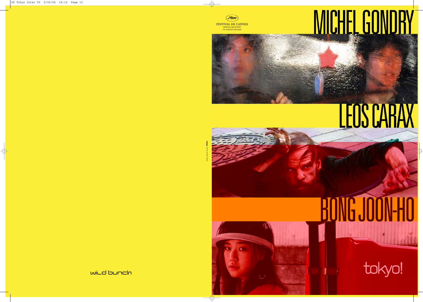







### wild bunch

## MICHEL GONDRY

## LEOS CARAX

# ONG JOON-HO

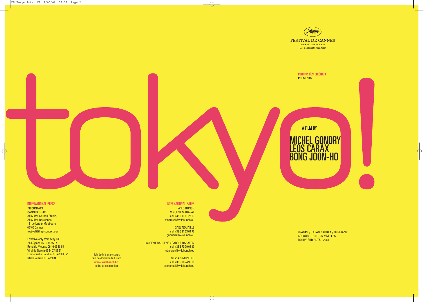comme des cinémas **PRESENTS** 

FRANCE / JAPAN / KOREA / GERMANY

COLOUR - 1H50 - 35 MM -1.85 DOLBY SRD / DTS - 2008



### INTERNATIONAL PRESS

PR CONTACT CANNES OFFICE: All Suites Garden Studio, All Suites Residence, 12 rue Latour Maubourg 06400 Cannes festival@theprcontact.com

Effective only from May 13: Phil Symes 06 16 78 85 17 Ronaldo Mourao 06 16 02 80 85 Virginia Garcia 06 34 27 85 51 Emmanuelle Boudier 06 34 28 85 21 Stella Wilson 06 34 29 84 87



high definition pictures can be downloaded from **www.wildbunch.biz**  in the press section

### INTERNATIONAL SALES

WILD BUNCH VINCENT MARAVAL cell +33 6 11 91 23 93 vmaraval@wildbunch.eu

GAEL NOUAILLE

cell +33 6 21 23 04 72 gnouaille@wildunch.eu

LAURENT BAUDENS / CAROLE BARATON cell +33 6 70 79 05 17 cbaraton@wildbunch.eu

SILVIA SIMONUTTI cell +33 6 20 74 95 08 ssimonutti@wildbunch.eu

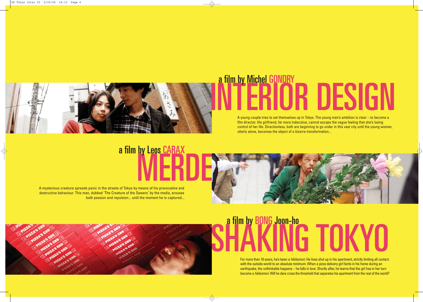For more than 10 years, he's been a *hikikomori*. He lives shut up in his apartment, strictly limiting all contact with the outside world to an absolute minimum. When a pizza delivery girl faints in his home during an earthquake, the unthinkable happens – he falls in love. Shortly after, he learns that the girl has in her turn become a *hikikomori*. Will he dare cross the threshold that separates his apartment from the rest of the world?

## MERDE a film by Leos CARAX

### OR DESIGN a film by Michel GONDRY

A young couple tries to set themselves up in Tokyo. The young man's ambition is clear – to become a film director. His girlfriend, far more indecisive, cannot escape the vague feeling that she's losing control of her life. Directionless, both are beginning to go under in this vast city until the young woman, utterly alone, becomes the object of a bizarre transformation...





A mysterious creature spreads panic in the streets of Tokyo by means of his provocative and destructive behaviour. This man, dubbed 'The Creature of the Sewers' by the media, arouses both passion and repulsion... until the moment he is captured...



## a film by BONG Joon-ho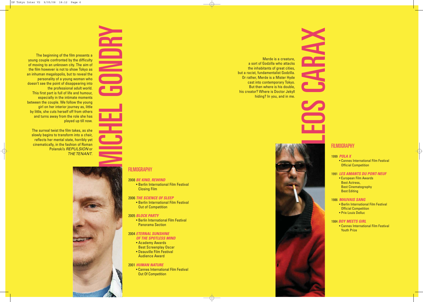Merde is a creature, a sort of Godzilla who attacks the inhabitants of great cities, but a racist, fundamentalist Godzilla. Or rather, Merde is a Mister Hyde cast into contemporary Tokyo. But then where is his double, his creator? Where is Doctor Jekyll hiding? In you, and in me.

**LEOS CARACTERISTS** 



### 1999 *POLA X*

• Cannes International Film Festival Official Competition

### 1991 *LES AMANTS DU PONT-NEUF*

• European Film Awards Best Actress, Best Cinematography Best Editing

### 1986 *MAUVAIS SANG*

- Berlin International Film Festival Official Competition
- Prix Louis Delluc

### 1984 *BOY MEETS GIRL*

The beginning of the film presents a young couple confronted by the difficulty of moving to an unknown city. The aim of the film however is not to show Tokyo as an inhuman megalopolis, but to reveal the personality of a young woman who doesn't see the point of disappearing into the professional adult world. This first part is full of life and humour, especially in the intimate moments between the couple. We follow the young girl on her interior journey as, little by little, she cuts herself off from others and turns away from the role she has played up till now.

> • Cannes International Film Festival Youth Prize

The surreal twist the film takes, as she slowly begins to transform into a chair, reflects her mental state, horribly yet cinematically, in the fashion of Roman Polanski's *REPULSION* or *THE TENANT*.



### **FILMOGRAPHY**

### 2008 *BE KIND, REWIND*

• Berlin International Film Festival Closing Film

### 2006 *THE SCIENCE OF SLEEP*

• Berlin International Film Festival Out of Competition

### 2005 *BLOCK PARTY*

• Berlin International Film Festival Panorama Section

### 2004 *ETERNAL SUNSHINE*

- *OF THE SPOTLESS MIND*
- Academy Awards Best Screenplay Oscar
- Deauville Film Festival
- Audience Award

### 2001 *HUMAN NATURE*

• Cannes International Film Festival Out Of Competition

### **FILMOGRAPHY**



F

 $\blacksquare$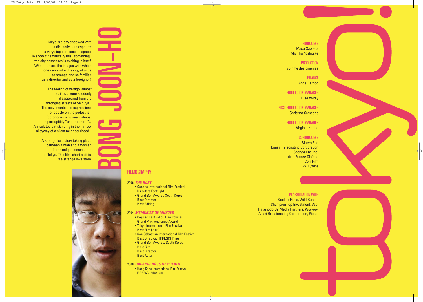Tokyo is a city endowed with a distinctive atmosphere, a very singular sense of space. To show cinematically this "something" the city possesses is exciting in itself. What then are the images with which one can evoke this city, at once so strange and so familiar, as a director and as a foreigner?

### **PRODUCTION** comme des cinémas

**FINANCE** Anne Pernod

The feeling of vertigo, almost as if everyone suddenly disappeared from the thronging streets of Shibuya... The movements and expressions of people on the pedestrian footbridges who seem almost imperceptibly "under control"... An isolated cat standing in the narrow alleyway of a silent neighbourhood...

> A strange love story taking place between a man and a woman in the unique atmosphere of Tokyo. This film, short as it is, is a strange love story.



Masa Sawada Michiko Yoshitake

### PRODUCTION MANAGER Elise Voitey

POST-PRODUCTION MANAGER Christina Crassaris

### PRODUCTION MANAGER

Virginie Hoche

### **COPRODUCERS**

Bitters End Kansai Telecasting Corporation Sponge Ent. Inc. Arte France Cinéma Coin Film WDR/Arte



### IN ASSOCIATION WITH

Backup Films, Wild Bunch, Champion Top Investment, Vap, Hakuhodo DY Media Partners, Wowow, Asahi Broadcasting Corporation, Picnic

# BOON-HO

### FILMOGRAPHY

### 2006 *THE HOST*

- Cannes International Film Festival Directors Fortnight
- Grand Bell Awards South Korea Best Director Best Editing

### 2004 *MEMORIES OF MURDER*

- Cognac Festival du Film Policier Grand Prix, Audience Award
- Tokyo International Film Festival Best Film (2003)
- San Sébastian International Film Festival Best Director, FIPRESCI Prize
- Grand Bell Awards, South Korea Best Film Best Director Best Actor

### 2000 *BARKING DOGS NEVER BITE*

• Hong Kong International Film Festival FIPRESCI Prize (2001)



### **PRODUCERS**